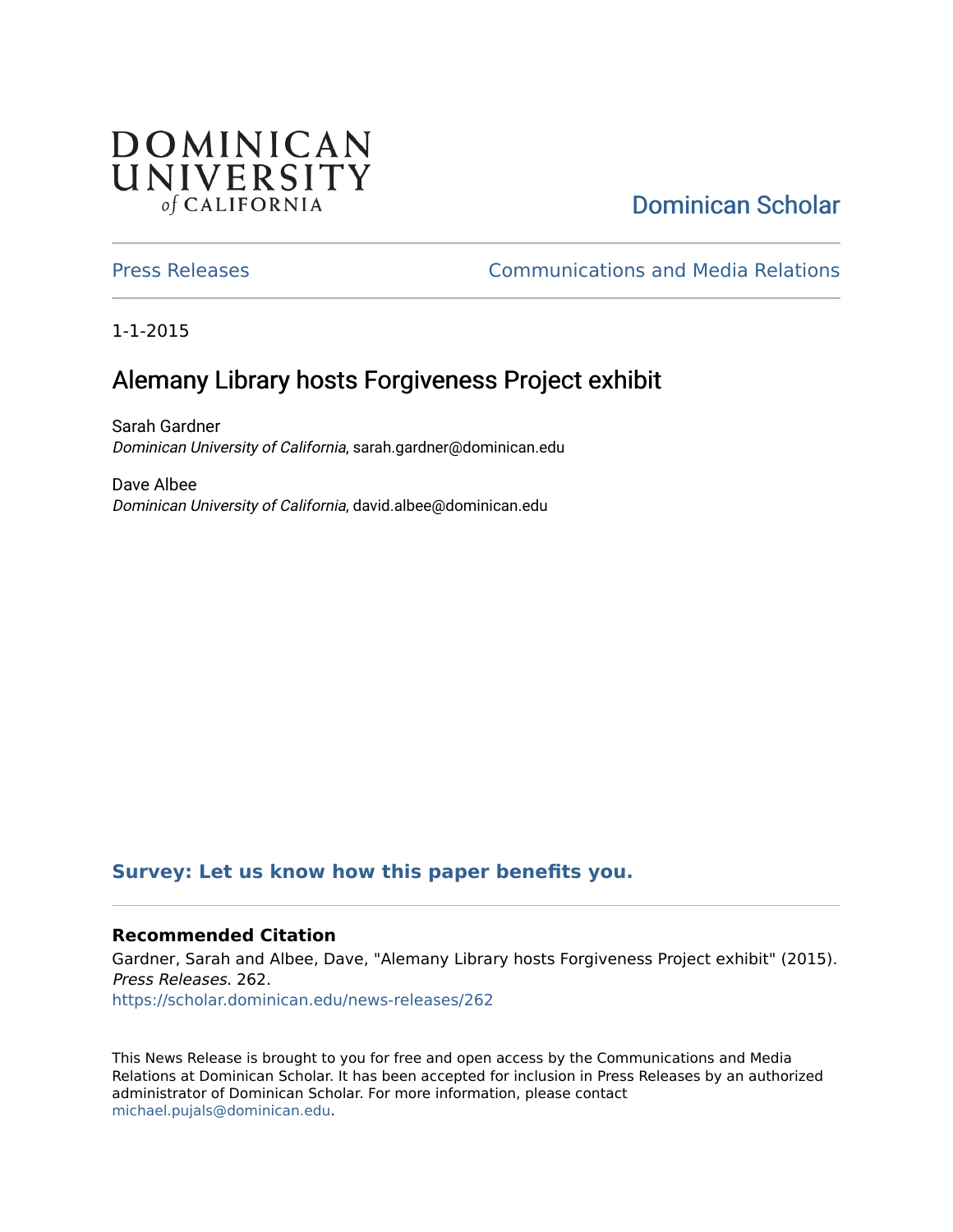## DOMINICAN UNIVERSITY of CALIFORNIA

# [Dominican Scholar](https://scholar.dominican.edu/)

[Press Releases](https://scholar.dominican.edu/news-releases) [Communications and Media Relations](https://scholar.dominican.edu/communications-media) 

1-1-2015

## Alemany Library hosts Forgiveness Project exhibit

Sarah Gardner Dominican University of California, sarah.gardner@dominican.edu

Dave Albee Dominican University of California, david.albee@dominican.edu

#### **[Survey: Let us know how this paper benefits you.](https://dominican.libwizard.com/dominican-scholar-feedback)**

#### **Recommended Citation**

Gardner, Sarah and Albee, Dave, "Alemany Library hosts Forgiveness Project exhibit" (2015). Press Releases. 262.

[https://scholar.dominican.edu/news-releases/262](https://scholar.dominican.edu/news-releases/262?utm_source=scholar.dominican.edu%2Fnews-releases%2F262&utm_medium=PDF&utm_campaign=PDFCoverPages)

This News Release is brought to you for free and open access by the Communications and Media Relations at Dominican Scholar. It has been accepted for inclusion in Press Releases by an authorized administrator of Dominican Scholar. For more information, please contact [michael.pujals@dominican.edu.](mailto:michael.pujals@dominican.edu)